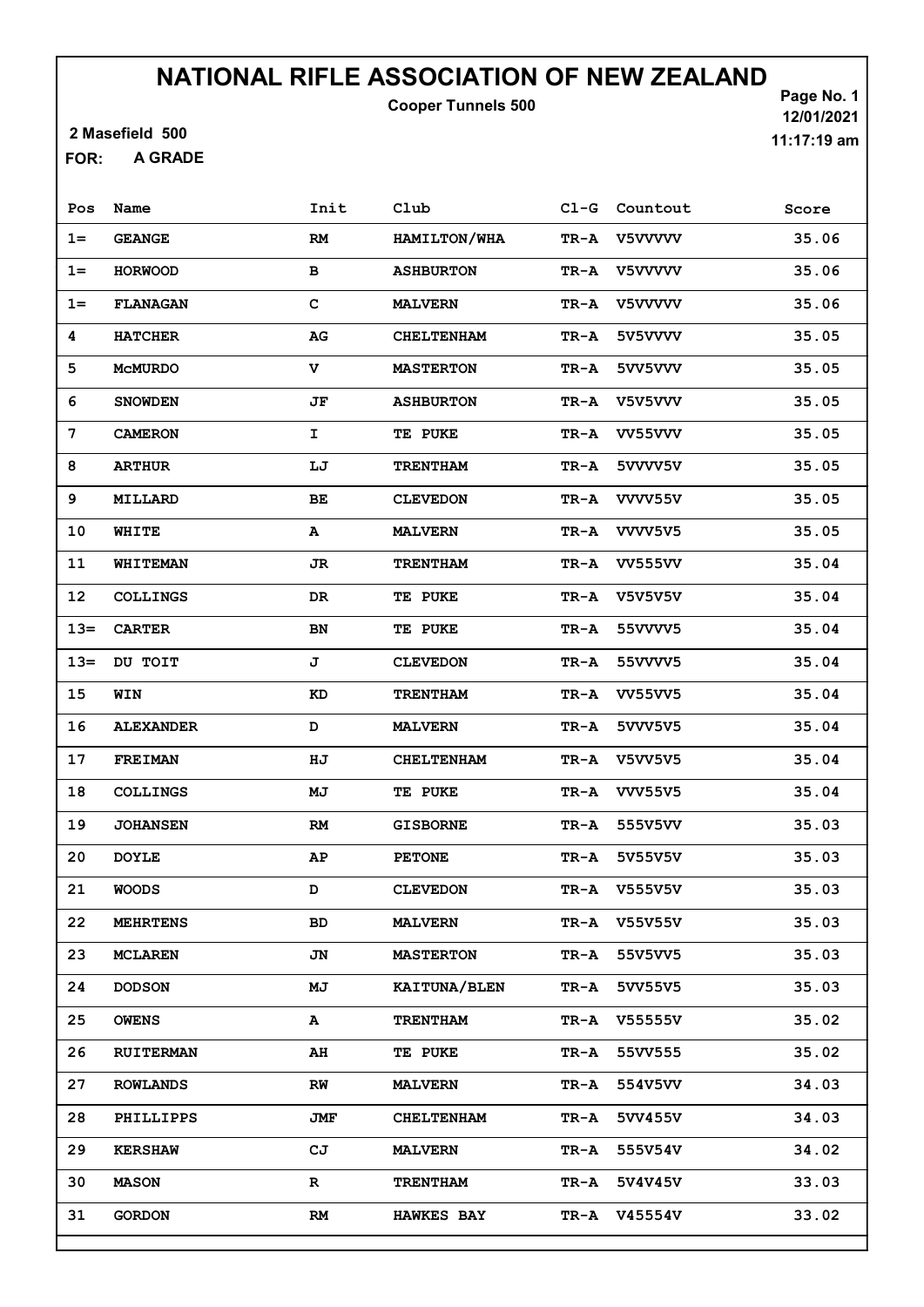Cooper Tunnels 500

2 Masefield 500

A GRADE FOR:

Page No. 1 12/01/2021 11:17:19 am

| Pos     | Name             | Init        | Club              | $C1-G$          | Countout       | Score |
|---------|------------------|-------------|-------------------|-----------------|----------------|-------|
| $1 =$   | <b>GEANGE</b>    | RM          | HAMILTON/WHA      | TR-A            | V5VVVV         | 35.06 |
| $1 =$   | <b>HORWOOD</b>   | в           | <b>ASHBURTON</b>  | TR-A            | V5VVVV         | 35.06 |
| $1 =$   | <b>FLANAGAN</b>  | $\mathbf C$ | <b>MALVERN</b>    | TR-A            | V5VVVV         | 35.06 |
| 4       | <b>HATCHER</b>   | AG          | <b>CHELTENHAM</b> | TR-A            | 5V5VVVV        | 35.05 |
| 5       | <b>MCMURDO</b>   | $\mathbf v$ | <b>MASTERTON</b>  | TR-A            | 5vv5vvv        | 35.05 |
| 6       | <b>SNOWDEN</b>   | JF          | <b>ASHBURTON</b>  | $\texttt{TR-A}$ | V5V5VVV        | 35.05 |
| 7       | <b>CAMERON</b>   | I.          | <b>TE PUKE</b>    | TR-A            | VV55VVV        | 35.05 |
| 8       | <b>ARTHUR</b>    | LJ          | <b>TRENTHAM</b>   | TR-A            | 5vvvv5v        | 35.05 |
| 9       | MILLARD          | BE          | <b>CLEVEDON</b>   | TR-A            | VVVV55V        | 35.05 |
| 10      | WHITE            | A           | <b>MALVERN</b>    | TR-A            | VVVV5V5        | 35.05 |
| 11      | <b>WHITEMAN</b>  | JR          | <b>TRENTHAM</b>   | TR-A            | <b>VV555VV</b> | 35.04 |
| 12      | <b>COLLINGS</b>  | DR          | <b>TE PUKE</b>    | $TR - A$        | <b>V5V5V5V</b> | 35.04 |
| $13=$   | <b>CARTER</b>    | BN          | <b>TE PUKE</b>    | TR-A            | 55VVVV5        | 35.04 |
| $13=$   | DU TOIT          | J           | <b>CLEVEDON</b>   | TR-A            | 55VVVV5        | 35.04 |
| 15      | WIN              | KD          | <b>TRENTHAM</b>   | TR-A            | <b>VV55VV5</b> | 35.04 |
| 16      | <b>ALEXANDER</b> | D           | <b>MALVERN</b>    | TR-A            | 5VVV5V5        | 35.04 |
| 17      | <b>FREIMAN</b>   | HJ          | <b>CHELTENHAM</b> | TR-A            | <b>V5VV5V5</b> | 35.04 |
| 18      | COLLINGS         | MJ          | <b>TE PUKE</b>    | $TR - A$        | <b>VVV55V5</b> | 35.04 |
| 19      | <b>JOHANSEN</b>  | RM          | <b>GISBORNE</b>   | TR-A            | 555V5VV        | 35.03 |
| 20      | <b>DOYLE</b>     | AΡ          | <b>PETONE</b>     | TR-A            | 5V55V5V        | 35.03 |
| 21      | <b>WOODS</b>     | D           | <b>CLEVEDON</b>   | TR-A            | V555V5V        | 35.03 |
| $22 \,$ | <b>MEHRTENS</b>  | BD          | <b>MALVERN</b>    | TR-A            | <b>V55V55V</b> | 35.03 |
| 23      | <b>MCLAREN</b>   | JN          | <b>MASTERTON</b>  | TR-A            | 55V5VV5        | 35.03 |
| 24      | <b>DODSON</b>    | МJ          | KAITUNA/BLEN      | TR-A            | 5VV55V5        | 35.03 |
| 25      | <b>OWENS</b>     | A           | <b>TRENTHAM</b>   | TR-A            | V55555V        | 35.02 |
| 26      | <b>RUITERMAN</b> | AH          | <b>TE PUKE</b>    | TR-A            | 55VV555        | 35.02 |
| 27      | <b>ROWLANDS</b>  | RW          | <b>MALVERN</b>    | TR-A            | 554V5VV        | 34.03 |
| 28      | <b>PHILLIPPS</b> | JMF         | <b>CHELTENHAM</b> | TR-A            | 5VV455V        | 34.03 |
| 29      | <b>KERSHAW</b>   | CJ          | <b>MALVERN</b>    | TR-A            | 555V54V        | 34.02 |
| 30      | <b>MASON</b>     | $\mathbf R$ | <b>TRENTHAM</b>   | TR-A            | 5V4V45V        | 33.03 |
| 31      | <b>GORDON</b>    | RM          | <b>HAWKES BAY</b> | TR-A            | V45554V        | 33.02 |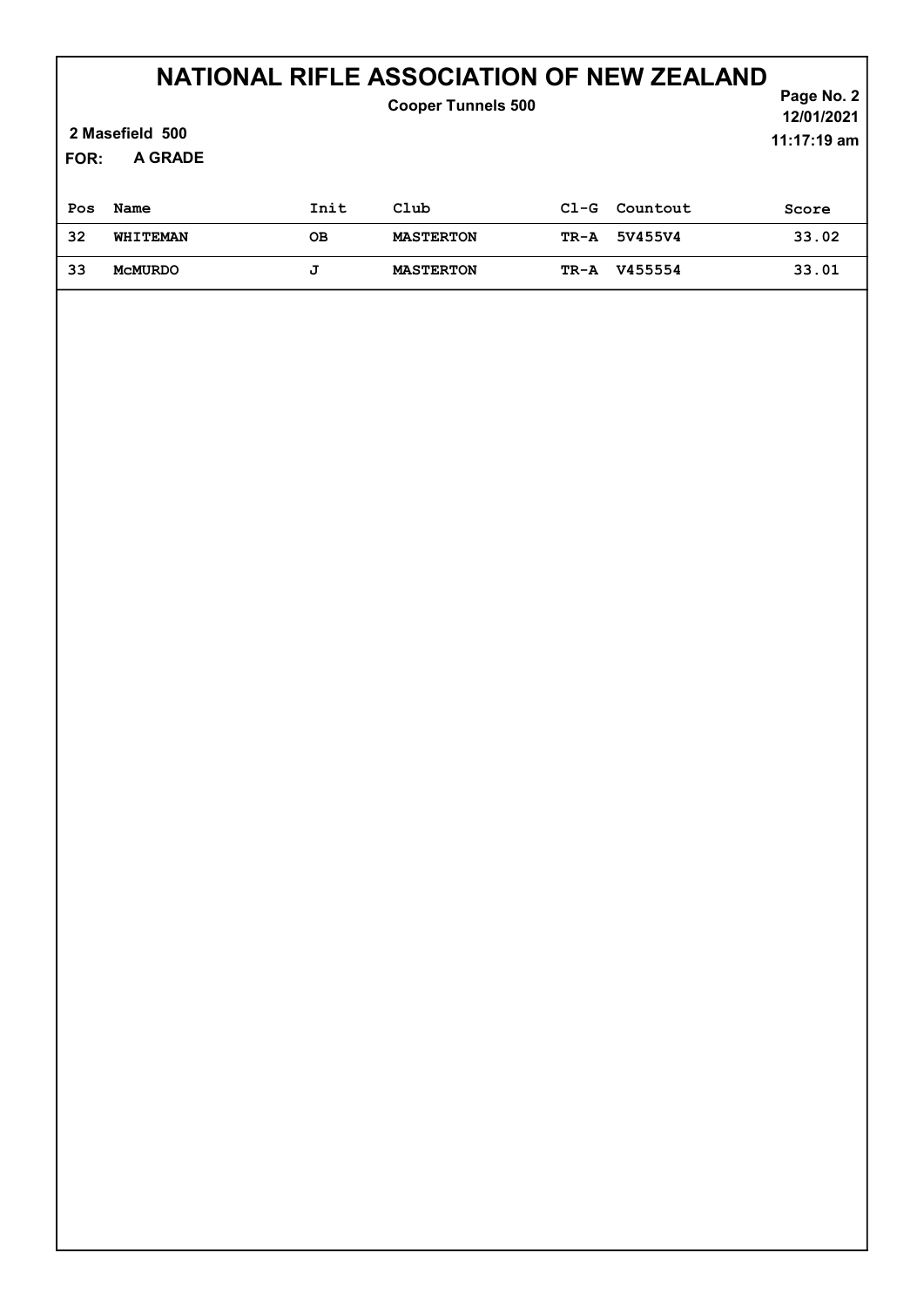| 2 Masefield 500<br><b>A GRADE</b><br>FOR: |                |      | <b>Cooper Tunnels 500</b> |        |          | Page No. 2<br>12/01/2021<br>11:17:19 am |
|-------------------------------------------|----------------|------|---------------------------|--------|----------|-----------------------------------------|
| Pos                                       | Name           | Init | Club                      | $C1-G$ | Countout | Score                                   |
| 32                                        | WHITEMAN       | OВ   | <b>MASTERTON</b>          | TR-A   | 5V455V4  | 33.02                                   |
| 33                                        | <b>MCMURDO</b> | J    | <b>MASTERTON</b>          | TR-A   | V455554  | 33.01                                   |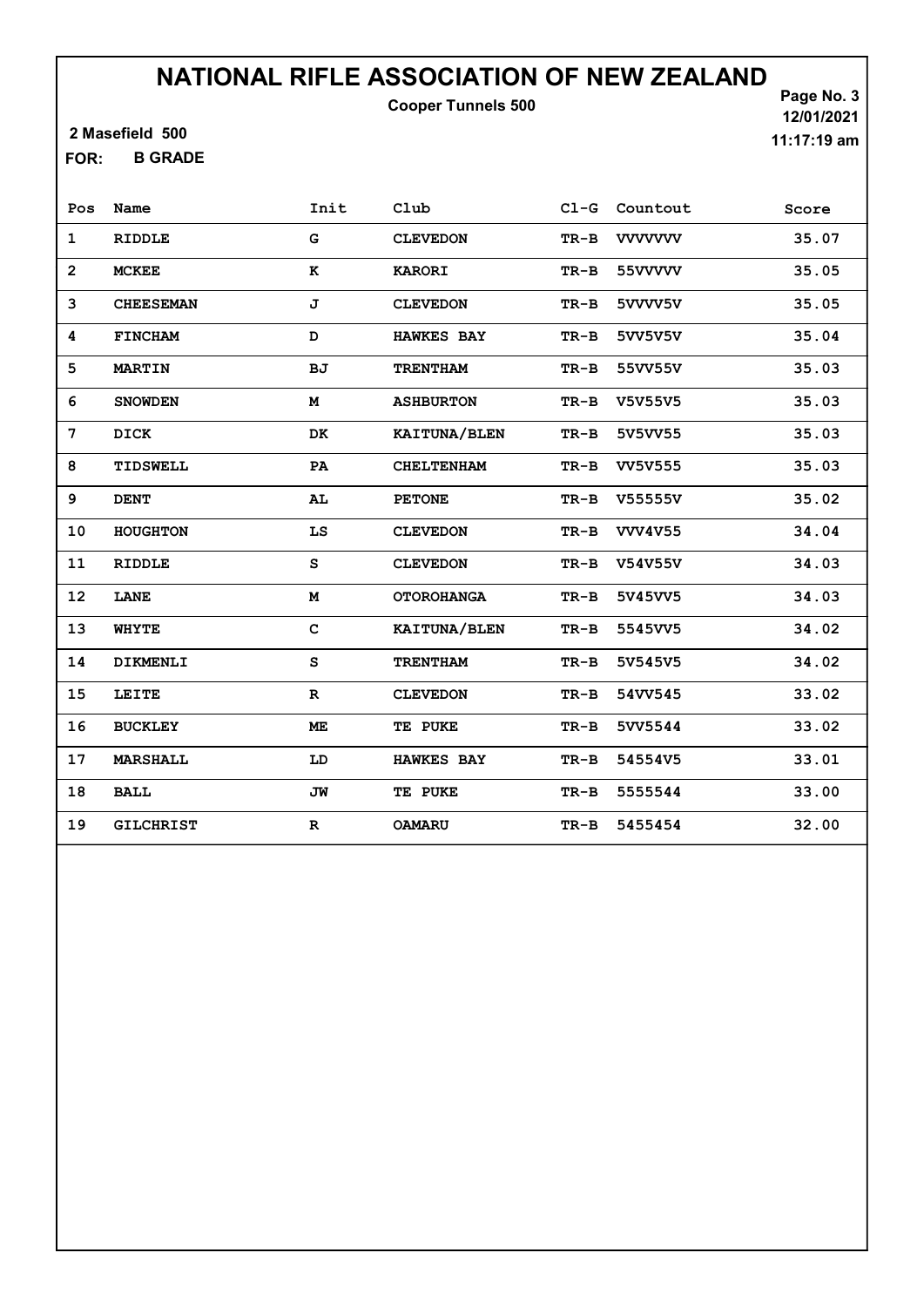Cooper Tunnels 500

2 Masefield 500

B GRADE FOR:

Page No. 3 12/01/2021 11:17:19 am

| Pos            | Name             | Init        | Club              | $CL-G$ | Countout       | Score |
|----------------|------------------|-------------|-------------------|--------|----------------|-------|
| $\mathbf 1$    | <b>RIDDLE</b>    | G           | <b>CLEVEDON</b>   | $TR-B$ | <b>VVVVVVV</b> | 35.07 |
| $\overline{2}$ | <b>MCKEE</b>     | к           | <b>KARORI</b>     | $TR-B$ | 55VVVVV        | 35.05 |
| 3              | <b>CHEESEMAN</b> | J           | <b>CLEVEDON</b>   | $TR-B$ | 5VVVV5V        | 35.05 |
| 4              | <b>FINCHAM</b>   | D           | <b>HAWKES BAY</b> | $TR-B$ | 5VV5V5V        | 35.04 |
| 5              | <b>MARTIN</b>    | BJ          | <b>TRENTHAM</b>   | $TR-B$ | 55VV55V        | 35.03 |
| 6              | <b>SNOWDEN</b>   | M           | <b>ASHBURTON</b>  | $TR-B$ | V5V55V5        | 35.03 |
| 7              | DICK             | DK          | KAITUNA/BLEN      | $TR-B$ | 5V5VV55        | 35.03 |
| 8              | TIDSWELL         | PA          | <b>CHELTENHAM</b> | $TR-B$ | <b>VV5V555</b> | 35.03 |
| 9              | <b>DENT</b>      | AL          | <b>PETONE</b>     | $TR-B$ | V55555V        | 35.02 |
| 10             | HOUGHTON         | LS          | <b>CLEVEDON</b>   | $TR-B$ | <b>VVV4V55</b> | 34.04 |
| 11             | RIDDLE           | s           | <b>CLEVEDON</b>   | $TR-B$ | V54V55V        | 34.03 |
| 12             | LANE             | M           | <b>OTOROHANGA</b> | $TR-B$ | 5V45VV5        | 34.03 |
| 13             | <b>WHYTE</b>     | $\mathbf C$ | KAITUNA/BLEN      | $TR-B$ | 5545VV5        | 34.02 |
| 14             | DIKMENLI         | s           | <b>TRENTHAM</b>   | $TR-B$ | 5V545V5        | 34.02 |
| 15             | LEITE            | $\mathbf R$ | <b>CLEVEDON</b>   | $TR-B$ | 54VV545        | 33.02 |
| 16             | <b>BUCKLEY</b>   | ME          | TE PUKE           | $TR-B$ | 5VV5544        | 33.02 |
| 17             | <b>MARSHALL</b>  | LD          | <b>HAWKES BAY</b> | $TR-B$ | 54554V5        | 33.01 |
| 18             | <b>BALL</b>      | JW          | TE PUKE           | $TR-B$ | 5555544        | 33.00 |
| 19             | <b>GILCHRIST</b> | $\mathbf R$ | OAMARU            | TR-B   | 5455454        | 32.00 |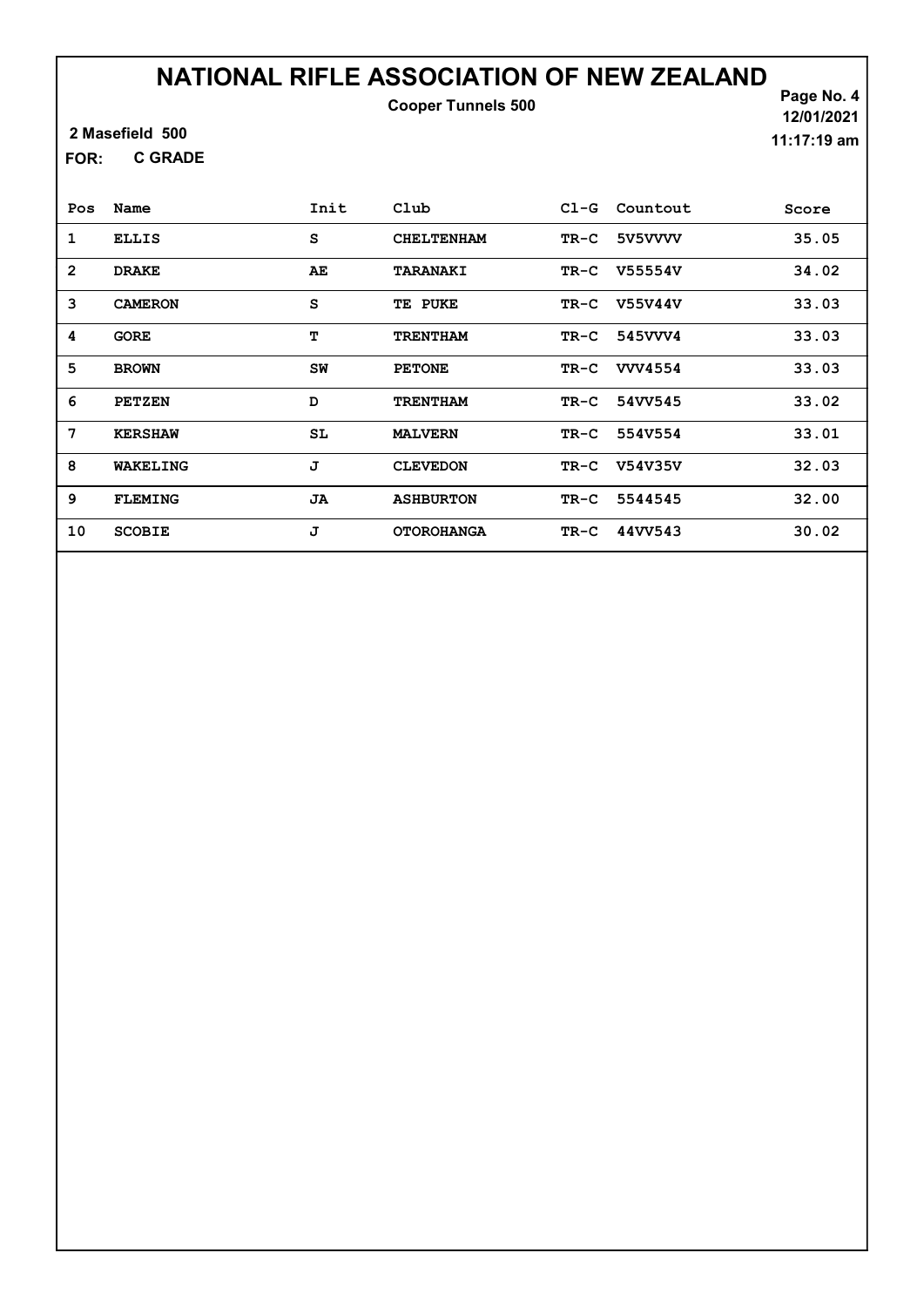Cooper Tunnels 500

2 Masefield 500

C GRADE FOR:

Page No. 4 12/01/2021 11:17:19 am

| Pos            | Name           | Init | Club              | $C1-G$ | Countout       | Score |
|----------------|----------------|------|-------------------|--------|----------------|-------|
| 1              | <b>ELLIS</b>   | S    | <b>CHELTENHAM</b> | $TR-C$ | 5V5VVVV        | 35.05 |
| $\overline{2}$ | <b>DRAKE</b>   | AE   | <b>TARANAKI</b>   | $TR-C$ | V55554V        | 34.02 |
| 3              | <b>CAMERON</b> | S    | TE PUKE           | $TR-C$ | V55V44V        | 33.03 |
| 4              | <b>GORE</b>    | т    | <b>TRENTHAM</b>   | TR-C   | 545VVV4        | 33.03 |
| 5              | <b>BROWN</b>   | SW   | <b>PETONE</b>     | $TR-C$ | <b>VVV4554</b> | 33.03 |
| 6              | <b>PETZEN</b>  | D    | <b>TRENTHAM</b>   | $TR-C$ | 54VV545        | 33.02 |
| 7              | <b>KERSHAW</b> | SL   | <b>MALVERN</b>    | $TR-C$ | 554V554        | 33.01 |
| 8              | WAKELING       | J    | <b>CLEVEDON</b>   | $TR-C$ | <b>V54V35V</b> | 32.03 |
| 9              | <b>FLEMING</b> | JA   | <b>ASHBURTON</b>  | $TR-C$ | 5544545        | 32.00 |
| 10             | <b>SCOBIE</b>  | J    | <b>OTOROHANGA</b> | $TR-C$ | 44VV543        | 30.02 |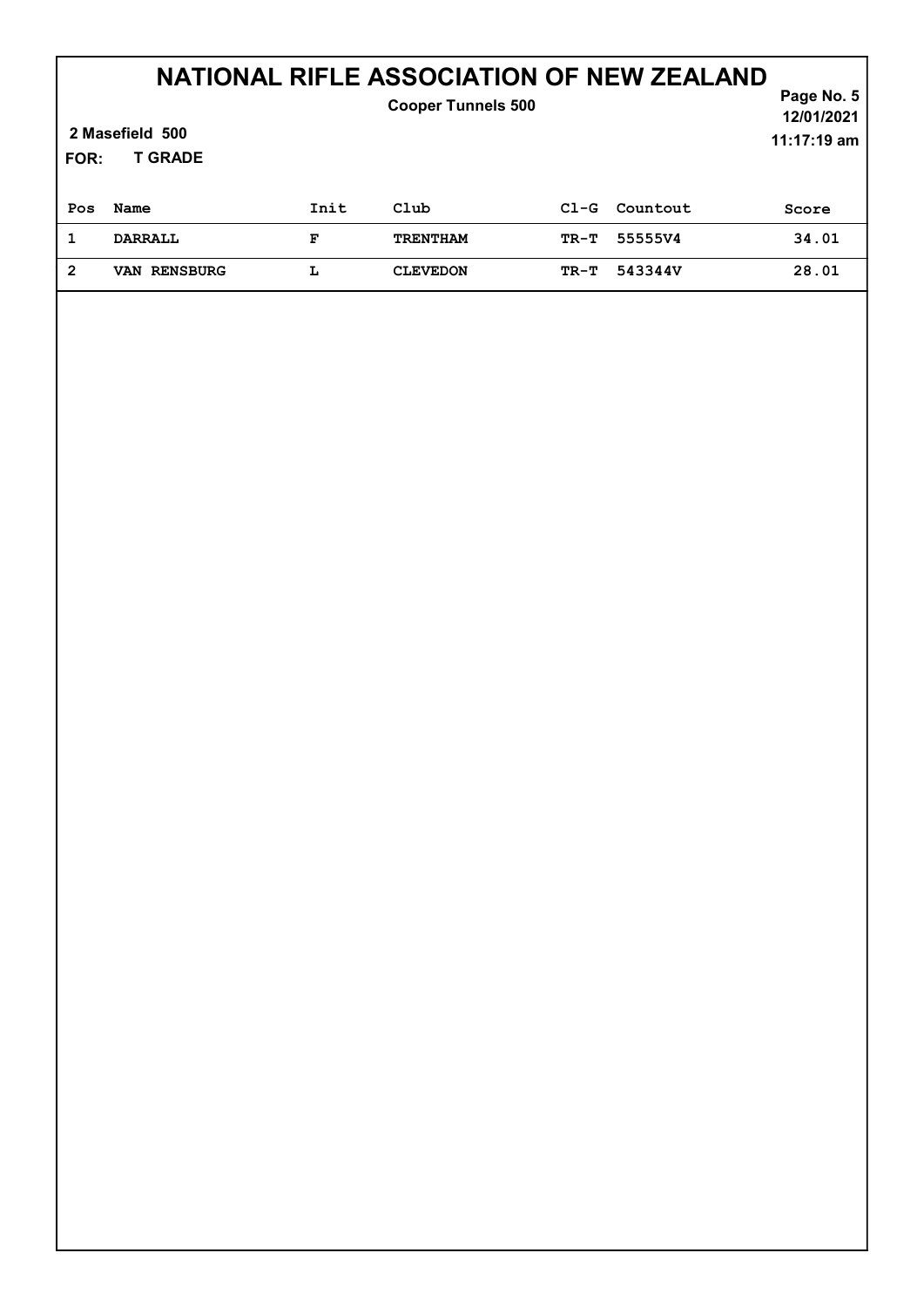| 2 Masefield 500<br><b>T GRADE</b><br>FOR: |                |      | <b>Cooper Tunnels 500</b> |        |          | Page No. 5<br>12/01/2021<br>11:17:19 am |
|-------------------------------------------|----------------|------|---------------------------|--------|----------|-----------------------------------------|
| Pos                                       | Name           | Init | Club                      | $C1-G$ | Countout | Score                                   |
| 1                                         | <b>DARRALL</b> | F    | <b>TRENTHAM</b>           | TR-T   | 55555V4  | 34.01                                   |
| $\overline{2}$                            | VAN RENSBURG   | L    | <b>CLEVEDON</b>           | TR-T   | 543344V  | 28.01                                   |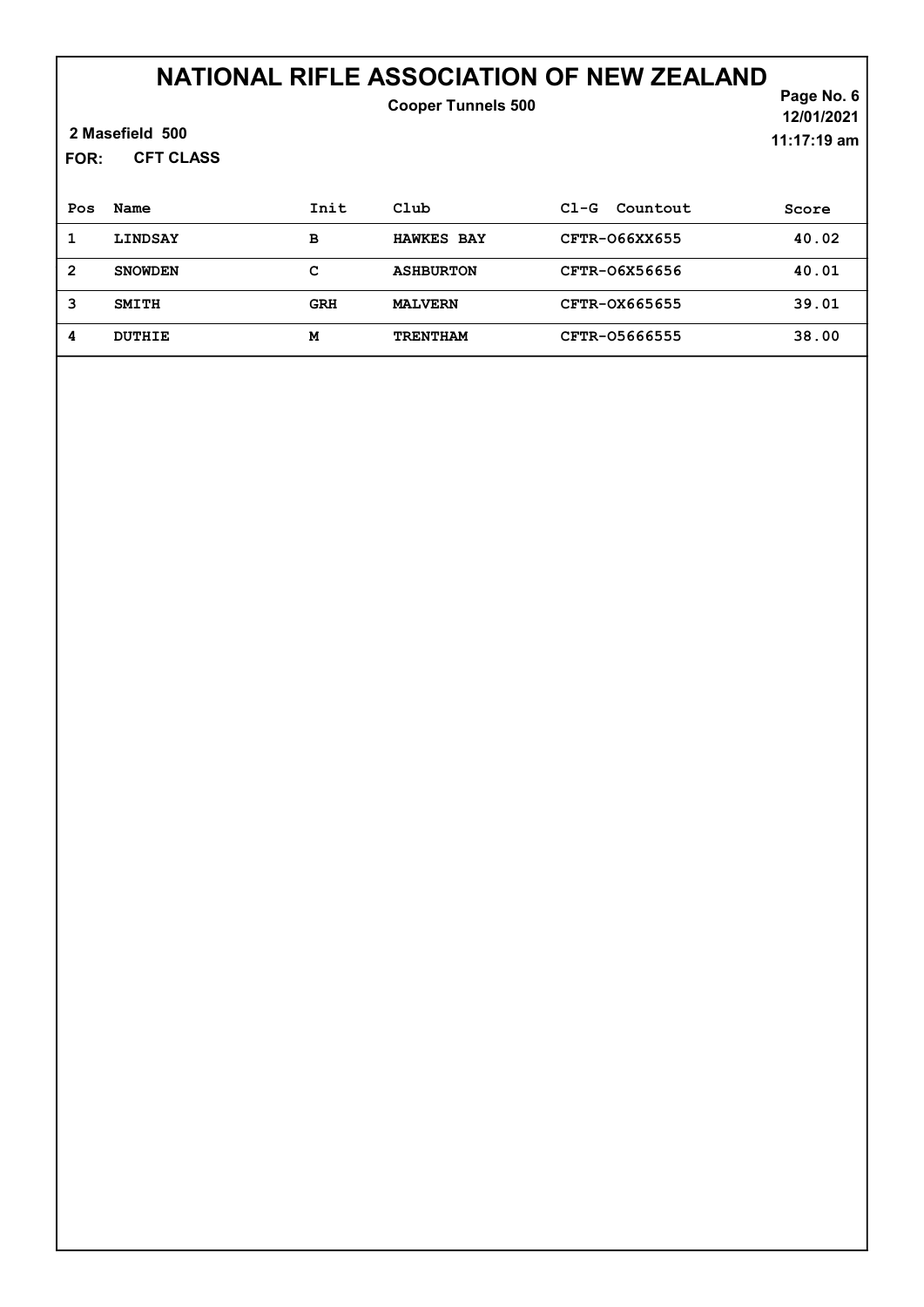#### NATIONAL RIFLE ASSOCIATION OF NEW ZEALAND Cooper Tunnels 500

| 2 Masefield 500 |
|-----------------|
|-----------------|

CFT CLASS FOR:

Page No. 6 12/01/2021 11:17:19 am

| Pos | Name           | Init       | Club              | $C1-G$<br>Countout | Score |
|-----|----------------|------------|-------------------|--------------------|-------|
|     | <b>LINDSAY</b> | в          | <b>HAWKES BAY</b> | CFTR-066XX655      | 40.02 |
| 2   | <b>SNOWDEN</b> | c          | <b>ASHBURTON</b>  | CFTR-06X56656      | 40.01 |
| 3   | <b>SMITH</b>   | <b>GRH</b> | <b>MALVERN</b>    | CFTR-0X665655      | 39.01 |
| 4   | DUTHIE         | м          | <b>TRENTHAM</b>   | CFTR-05666555      | 38.00 |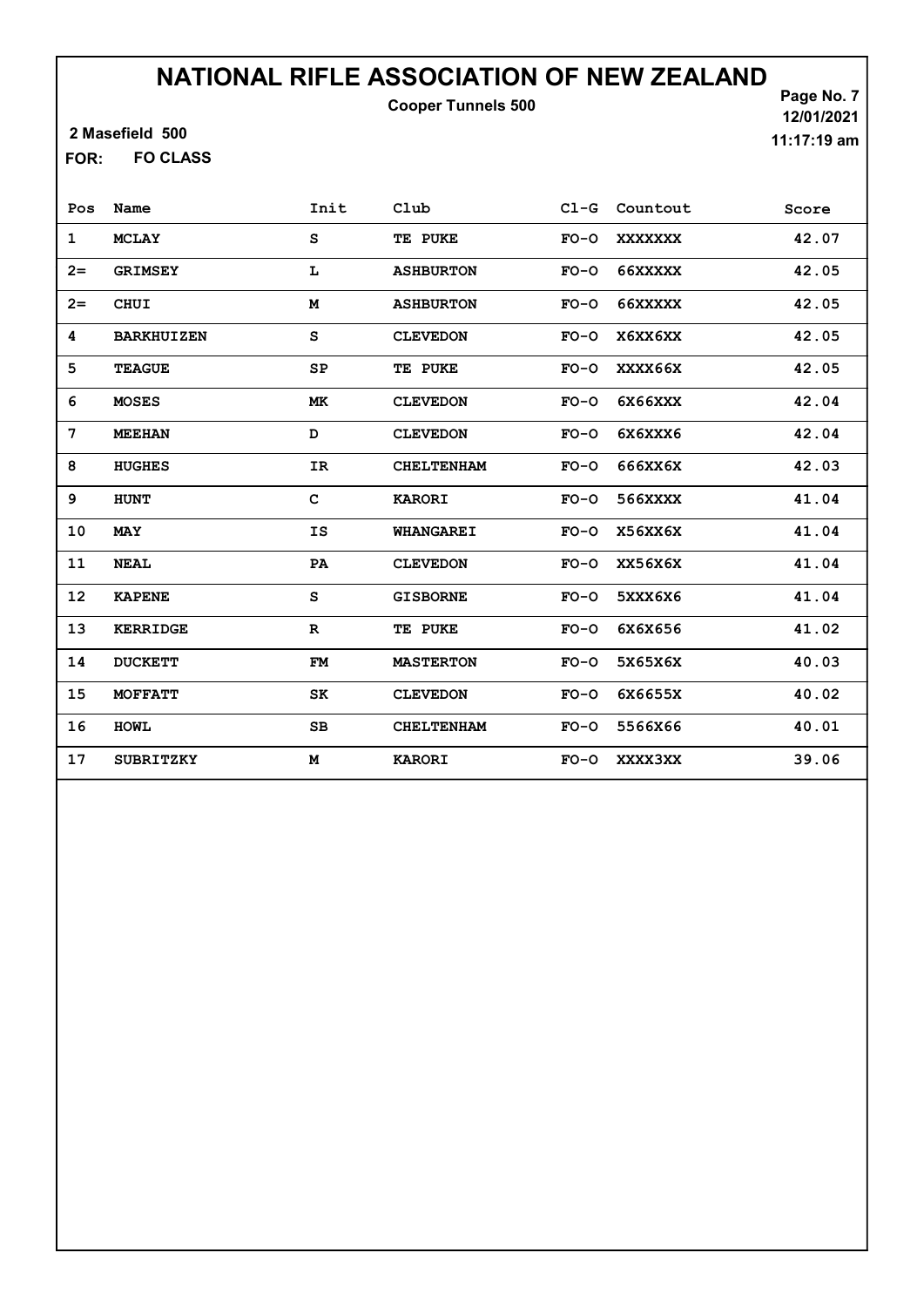Cooper Tunnels 500

2 Masefield 500

FO CLASS FOR:

Page No. 7 12/01/2021 11:17:19 am

| Pos  | Name              | Init        | Club              | $C1-G$ | Countout       | Score |
|------|-------------------|-------------|-------------------|--------|----------------|-------|
| 1    | <b>MCLAY</b>      | S           | TE PUKE           | $FO-O$ | <b>XXXXXXX</b> | 42.07 |
| $2=$ | <b>GRIMSEY</b>    | L           | <b>ASHBURTON</b>  | $FO-O$ | 66XXXXX        | 42.05 |
| $2=$ | <b>CHUI</b>       | M           | <b>ASHBURTON</b>  | $FO-O$ | 66XXXXX        | 42.05 |
| 4    | <b>BARKHUIZEN</b> | S           | <b>CLEVEDON</b>   | $FO-O$ | X6XX6XX        | 42.05 |
| 5    | <b>TEAGUE</b>     | SP          | TE PUKE           | $FO-O$ | XXXX66X        | 42.05 |
| 6    | <b>MOSES</b>      | МK          | <b>CLEVEDON</b>   | $FO-O$ | 6X66XXX        | 42.04 |
| 7    | <b>MEEHAN</b>     | D           | <b>CLEVEDON</b>   | $FO-O$ | 6X6XXX6        | 42.04 |
| 8    | <b>HUGHES</b>     | IR          | <b>CHELTENHAM</b> | $FO-O$ | 666XX6X        | 42.03 |
| 9    | <b>HUNT</b>       | C           | <b>KARORI</b>     | $FO-O$ | 566XXXX        | 41.04 |
| 10   | <b>MAY</b>        | IS          | <b>WHANGAREI</b>  | $FO-O$ | X56XX6X        | 41.04 |
| 11   | <b>NEAL</b>       | PA          | <b>CLEVEDON</b>   | $FO-O$ | XX56X6X        | 41.04 |
| 12   | <b>KAPENE</b>     | S           | <b>GISBORNE</b>   | $FO-O$ | 5XXX6X6        | 41.04 |
| 13   | <b>KERRIDGE</b>   | $\mathbf R$ | TE PUKE           | $FO-O$ | 6X6X656        | 41.02 |
| 14   | <b>DUCKETT</b>    | FM          | <b>MASTERTON</b>  | $FO-O$ | 5X65X6X        | 40.03 |
| 15   | <b>MOFFATT</b>    | SK          | <b>CLEVEDON</b>   | $FO-O$ | 6X6655X        | 40.02 |
| 16   | <b>HOWL</b>       | SB          | <b>CHELTENHAM</b> | $FO-O$ | 5566X66        | 40.01 |
| 17   | <b>SUBRITZKY</b>  | М           | <b>KARORI</b>     | $FO-O$ | <b>XXXX3XX</b> | 39.06 |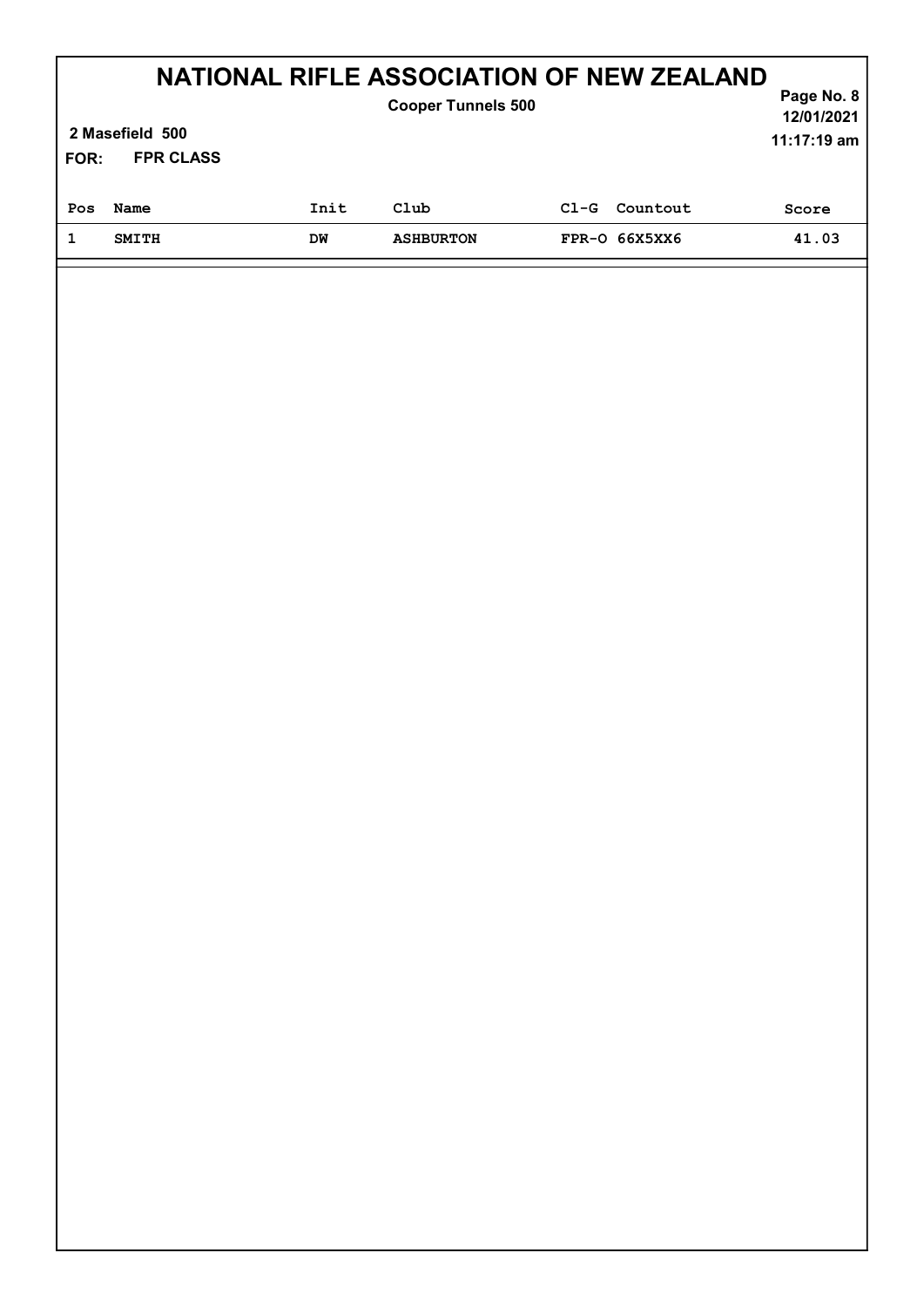| FOR: | 2 Masefield 500<br><b>FPR CLASS</b> |      | NATIONAL RIFLE ASSOCIATION OF NEW ZEALAND<br><b>Cooper Tunnels 500</b> |        |               | Page No. 8<br>12/01/2021<br>$11:17:19$ am |
|------|-------------------------------------|------|------------------------------------------------------------------------|--------|---------------|-------------------------------------------|
| Pos  | Name                                | Init | Club                                                                   | $C1-G$ | Countout      | Score                                     |
| 1    | <b>SMITH</b>                        | DM   | <b>ASHBURTON</b>                                                       |        | FPR-0 66X5XX6 | 41.03                                     |
|      |                                     |      |                                                                        |        |               |                                           |